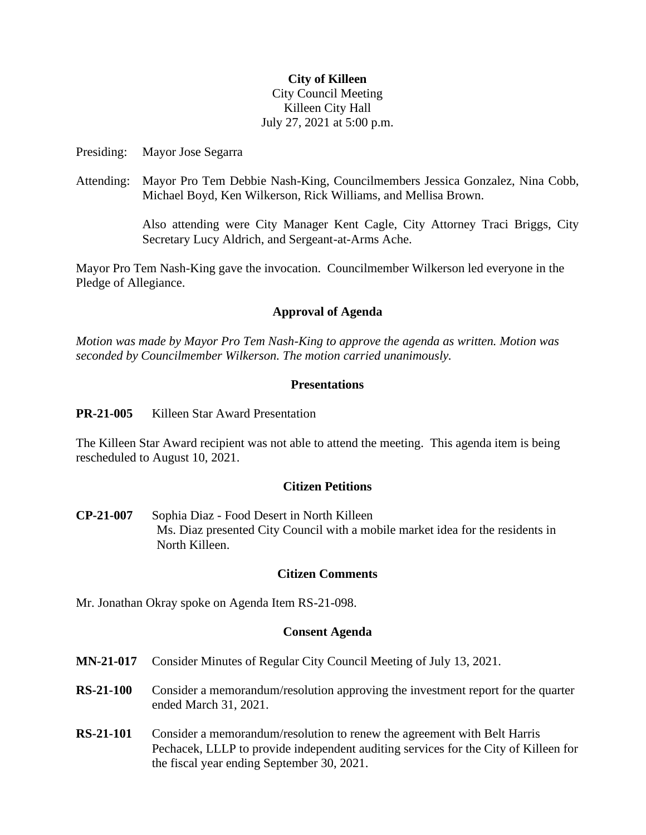### **City of Killeen**

## City Council Meeting Killeen City Hall July 27, 2021 at 5:00 p.m.

Presiding: Mayor Jose Segarra

Attending: Mayor Pro Tem Debbie Nash-King, Councilmembers Jessica Gonzalez, Nina Cobb, Michael Boyd, Ken Wilkerson, Rick Williams, and Mellisa Brown.

> Also attending were City Manager Kent Cagle, City Attorney Traci Briggs, City Secretary Lucy Aldrich, and Sergeant-at-Arms Ache.

Mayor Pro Tem Nash-King gave the invocation. Councilmember Wilkerson led everyone in the Pledge of Allegiance.

## **Approval of Agenda**

*Motion was made by Mayor Pro Tem Nash-King to approve the agenda as written. Motion was seconded by Councilmember Wilkerson. The motion carried unanimously.*

## **Presentations**

**PR-21-005** Killeen Star Award Presentation

The Killeen Star Award recipient was not able to attend the meeting. This agenda item is being rescheduled to August 10, 2021.

## **Citizen Petitions**

**CP-21-007** Sophia Diaz - Food Desert in North Killeen Ms. Diaz presented City Council with a mobile market idea for the residents in North Killeen.

## **Citizen Comments**

Mr. Jonathan Okray spoke on Agenda Item RS-21-098.

#### **Consent Agenda**

- **MN-21-017** Consider Minutes of Regular City Council Meeting of July 13, 2021.
- **RS-21-100** Consider a memorandum/resolution approving the investment report for the quarter ended March 31, 2021.
- **RS-21-101** Consider a memorandum/resolution to renew the agreement with Belt Harris Pechacek, LLLP to provide independent auditing services for the City of Killeen for the fiscal year ending September 30, 2021.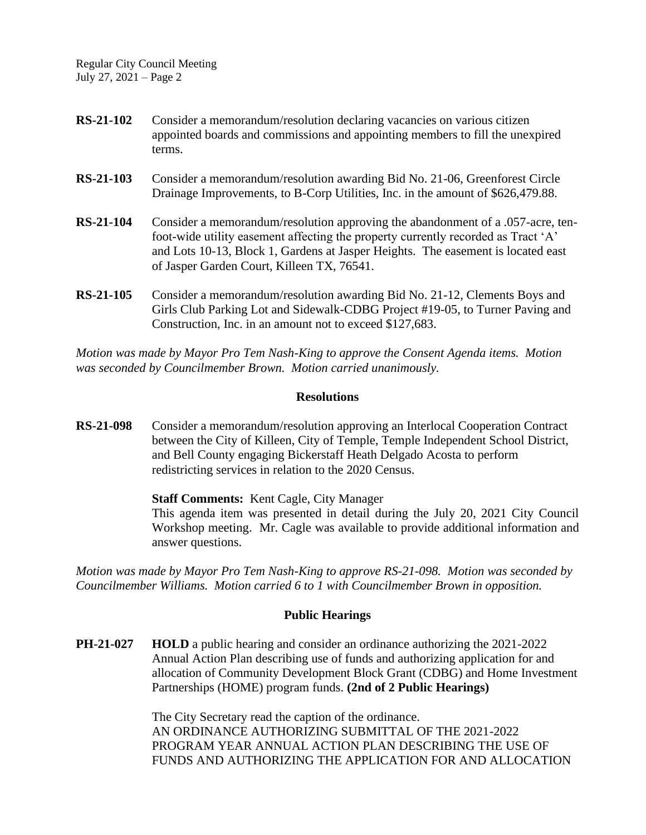Regular City Council Meeting July 27, 2021 – Page 2

- **RS-21-102** Consider a memorandum/resolution declaring vacancies on various citizen appointed boards and commissions and appointing members to fill the unexpired terms.
- **RS-21-103** Consider a memorandum/resolution awarding Bid No. 21-06, Greenforest Circle Drainage Improvements, to B-Corp Utilities, Inc. in the amount of \$626,479.88.
- **RS-21-104** Consider a memorandum/resolution approving the abandonment of a .057-acre, tenfoot-wide utility easement affecting the property currently recorded as Tract 'A' and Lots 10-13, Block 1, Gardens at Jasper Heights. The easement is located east of Jasper Garden Court, Killeen TX, 76541.
- **RS-21-105** Consider a memorandum/resolution awarding Bid No. 21-12, Clements Boys and Girls Club Parking Lot and Sidewalk-CDBG Project #19-05, to Turner Paving and Construction, Inc. in an amount not to exceed \$127,683.

*Motion was made by Mayor Pro Tem Nash-King to approve the Consent Agenda items. Motion was seconded by Councilmember Brown. Motion carried unanimously.*

#### **Resolutions**

**RS-21-098** Consider a memorandum/resolution approving an Interlocal Cooperation Contract between the City of Killeen, City of Temple, Temple Independent School District, and Bell County engaging Bickerstaff Heath Delgado Acosta to perform redistricting services in relation to the 2020 Census.

**Staff Comments:** Kent Cagle, City Manager

This agenda item was presented in detail during the July 20, 2021 City Council Workshop meeting. Mr. Cagle was available to provide additional information and answer questions.

*Motion was made by Mayor Pro Tem Nash-King to approve RS-21-098. Motion was seconded by Councilmember Williams. Motion carried 6 to 1 with Councilmember Brown in opposition.*

#### **Public Hearings**

**PH-21-027 HOLD** a public hearing and consider an ordinance authorizing the 2021-2022 Annual Action Plan describing use of funds and authorizing application for and allocation of Community Development Block Grant (CDBG) and Home Investment Partnerships (HOME) program funds. **(2nd of 2 Public Hearings)**

> The City Secretary read the caption of the ordinance. AN ORDINANCE AUTHORIZING SUBMITTAL OF THE 2021-2022 PROGRAM YEAR ANNUAL ACTION PLAN DESCRIBING THE USE OF FUNDS AND AUTHORIZING THE APPLICATION FOR AND ALLOCATION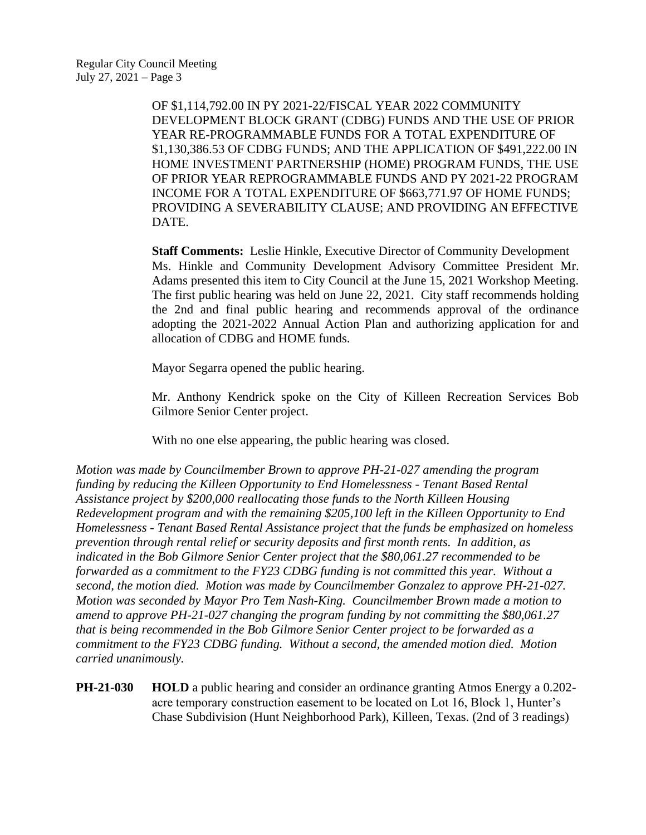OF \$1,114,792.00 IN PY 2021-22/FISCAL YEAR 2022 COMMUNITY DEVELOPMENT BLOCK GRANT (CDBG) FUNDS AND THE USE OF PRIOR YEAR RE-PROGRAMMABLE FUNDS FOR A TOTAL EXPENDITURE OF \$1,130,386.53 OF CDBG FUNDS; AND THE APPLICATION OF \$491,222.00 IN HOME INVESTMENT PARTNERSHIP (HOME) PROGRAM FUNDS, THE USE OF PRIOR YEAR REPROGRAMMABLE FUNDS AND PY 2021-22 PROGRAM INCOME FOR A TOTAL EXPENDITURE OF \$663,771.97 OF HOME FUNDS; PROVIDING A SEVERABILITY CLAUSE; AND PROVIDING AN EFFECTIVE DATE.

**Staff Comments:** Leslie Hinkle, Executive Director of Community Development Ms. Hinkle and Community Development Advisory Committee President Mr. Adams presented this item to City Council at the June 15, 2021 Workshop Meeting. The first public hearing was held on June 22, 2021. City staff recommends holding the 2nd and final public hearing and recommends approval of the ordinance adopting the 2021-2022 Annual Action Plan and authorizing application for and allocation of CDBG and HOME funds.

Mayor Segarra opened the public hearing.

Mr. Anthony Kendrick spoke on the City of Killeen Recreation Services Bob Gilmore Senior Center project.

With no one else appearing, the public hearing was closed.

*Motion was made by Councilmember Brown to approve PH-21-027 amending the program funding by reducing the Killeen Opportunity to End Homelessness - Tenant Based Rental Assistance project by \$200,000 reallocating those funds to the North Killeen Housing Redevelopment program and with the remaining \$205,100 left in the Killeen Opportunity to End Homelessness - Tenant Based Rental Assistance project that the funds be emphasized on homeless prevention through rental relief or security deposits and first month rents. In addition, as indicated in the Bob Gilmore Senior Center project that the \$80,061.27 recommended to be forwarded as a commitment to the FY23 CDBG funding is not committed this year. Without a second, the motion died. Motion was made by Councilmember Gonzalez to approve PH-21-027. Motion was seconded by Mayor Pro Tem Nash-King. Councilmember Brown made a motion to amend to approve PH-21-027 changing the program funding by not committing the \$80,061.27 that is being recommended in the Bob Gilmore Senior Center project to be forwarded as a commitment to the FY23 CDBG funding. Without a second, the amended motion died. Motion carried unanimously.*

**PH-21-030 HOLD** a public hearing and consider an ordinance granting Atmos Energy a 0.202 acre temporary construction easement to be located on Lot 16, Block 1, Hunter's Chase Subdivision (Hunt Neighborhood Park), Killeen, Texas. (2nd of 3 readings)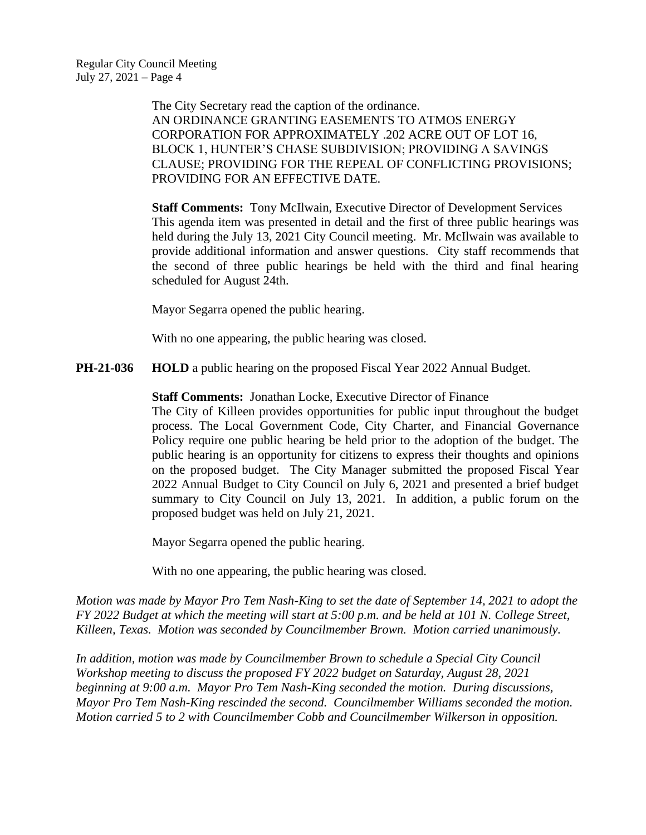The City Secretary read the caption of the ordinance. AN ORDINANCE GRANTING EASEMENTS TO ATMOS ENERGY CORPORATION FOR APPROXIMATELY .202 ACRE OUT OF LOT 16, BLOCK 1, HUNTER'S CHASE SUBDIVISION; PROVIDING A SAVINGS CLAUSE; PROVIDING FOR THE REPEAL OF CONFLICTING PROVISIONS; PROVIDING FOR AN EFFECTIVE DATE.

**Staff Comments:** Tony McIlwain, Executive Director of Development Services This agenda item was presented in detail and the first of three public hearings was held during the July 13, 2021 City Council meeting. Mr. McIlwain was available to provide additional information and answer questions. City staff recommends that the second of three public hearings be held with the third and final hearing scheduled for August 24th.

Mayor Segarra opened the public hearing.

With no one appearing, the public hearing was closed.

**PH-21-036 HOLD** a public hearing on the proposed Fiscal Year 2022 Annual Budget.

**Staff Comments:** Jonathan Locke, Executive Director of Finance

The City of Killeen provides opportunities for public input throughout the budget process. The Local Government Code, City Charter, and Financial Governance Policy require one public hearing be held prior to the adoption of the budget. The public hearing is an opportunity for citizens to express their thoughts and opinions on the proposed budget. The City Manager submitted the proposed Fiscal Year 2022 Annual Budget to City Council on July 6, 2021 and presented a brief budget summary to City Council on July 13, 2021. In addition, a public forum on the proposed budget was held on July 21, 2021.

Mayor Segarra opened the public hearing.

With no one appearing, the public hearing was closed.

*Motion was made by Mayor Pro Tem Nash-King to set the date of September 14, 2021 to adopt the FY 2022 Budget at which the meeting will start at 5:00 p.m. and be held at 101 N. College Street, Killeen, Texas. Motion was seconded by Councilmember Brown. Motion carried unanimously.*

*In addition, motion was made by Councilmember Brown to schedule a Special City Council Workshop meeting to discuss the proposed FY 2022 budget on Saturday, August 28, 2021 beginning at 9:00 a.m. Mayor Pro Tem Nash-King seconded the motion. During discussions, Mayor Pro Tem Nash-King rescinded the second. Councilmember Williams seconded the motion. Motion carried 5 to 2 with Councilmember Cobb and Councilmember Wilkerson in opposition.*